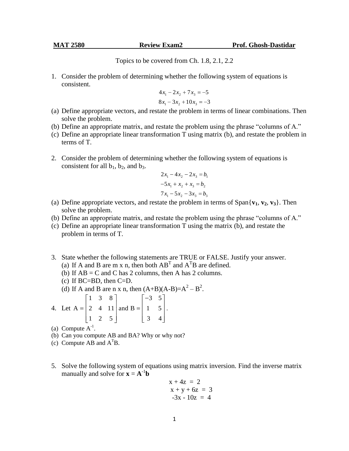Topics to be covered from Ch. 1.8, 2.1, 2.2

1. Consider the problem of determining whether the following system of equations is consistent.

$$
4x1 - 2x2 + 7x3 = -5
$$
  

$$
8x1 - 3x2 + 10x3 = -3
$$

- (a) Define appropriate vectors, and restate the problem in terms of linear combinations. Then solve the problem.
- (b) Define an appropriate matrix, and restate the problem using the phrase "columns of A."
- (c) Define an appropriate linear transformation T using matrix (b), and restate the problem in terms of T.
- 2. Consider the problem of determining whether the following system of equations is consistent for all  $b_1$ ,  $b_2$ , and  $b_3$ .

$$
2x_1 - 4x_2 - 2x_3 = b_1
$$
  

$$
-5x_1 + x_2 + x_3 = b_2
$$
  

$$
7x_1 - 5x_2 - 3x_3 = b_3
$$

- (a) Define appropriate vectors, and restate the problem in terms of  $\text{Span}\{\mathbf{v}_1, \mathbf{v}_2, \mathbf{v}_3\}$ . Then solve the problem.
- (b) Define an appropriate matrix, and restate the problem using the phrase "columns of A."
- (c) Define an appropriate linear transformation T using the matrix (b), and restate the problem in terms of T.
- 3. State whether the following statements are TRUE or FALSE. Justify your answer. (a) If A and B are m x n, then both  $AB<sup>T</sup>$  and  $A<sup>T</sup>B$  are defined.
	- (b) If  $AB = C$  and C has 2 columns, then A has 2 columns.
	- $(c)$  If BC=BD, then C=D.
	- (d) If A and B are n x n, then  $(A+B)(A-B)=A^2-B^2$ .

4. Let  $\begin{bmatrix} 1 & 3 & 8 \end{bmatrix}$   $\begin{bmatrix} -3 & 5 \end{bmatrix}$  $A = \begin{bmatrix} 1 & 3 & 8 \\ 2 & 4 & 11 \end{bmatrix}$  and  $B = \begin{bmatrix} -3 & 3 \\ 1 & 5 \end{bmatrix}$ 2 4 11 and B =  $\begin{bmatrix} 1 & 5 \\ 3 & 4 \end{bmatrix}$ .

- (a) Compute  $A^{-1}$ .
- (b) Can you compute AB and BA? Why or why not?
- (c) Compute AB and  $A^{T}B$ .
- 5. Solve the following system of equations using matrix inversion. Find the inverse matrix manually and solve for  $\mathbf{x} = \mathbf{A}^{-1}\mathbf{b}$

$$
x + 4z = 2
$$
  
\n
$$
x + y + 6z = 3
$$
  
\n
$$
-3x - 10z = 4
$$